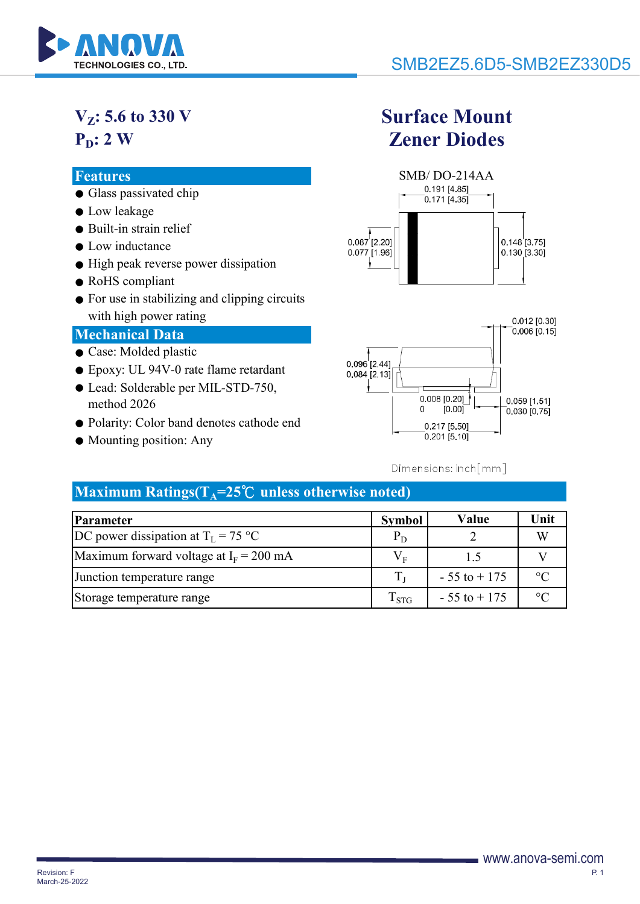

# **V<sub>z</sub>**: 5.6 to 330 V  $P_D: 2 W$

- Glass passivated chip
- Low leakage
- Built-in strain relief
- Low inductance
- High peak reverse power dissipation
- RoHS compliant
- For use in stabilizing and clipping circuits with high power rating

### **Mechanical Data**

- Case: Molded plastic
- Epoxy: UL 94V-0 rate flame retardant
- Lead: Solderable per MIL-STD-750, method 2026
- Polarity: Color band denotes cathode end
- Mounting position: Any

# **Surface Mount Zener Diodes**





## Dimensions: inch[mm]

## $Maximum Ratings(T<sub>A</sub>=25°C unless otherwise noted)$

| Parameter                                 | Symbol                              | Value           | Unit    |
|-------------------------------------------|-------------------------------------|-----------------|---------|
| DC power dissipation at $T_I = 75 °C$     | $P_D$                               |                 |         |
| Maximum forward voltage at $I_F = 200$ mA | $V_{\scriptscriptstyle \mathrm{F}}$ | $\overline{5}$  |         |
| Junction temperature range                |                                     | $-55$ to $+175$ | ം       |
| Storage temperature range                 | $\mathrm{T_{STG}}$                  | $-55$ to $+175$ | $\circ$ |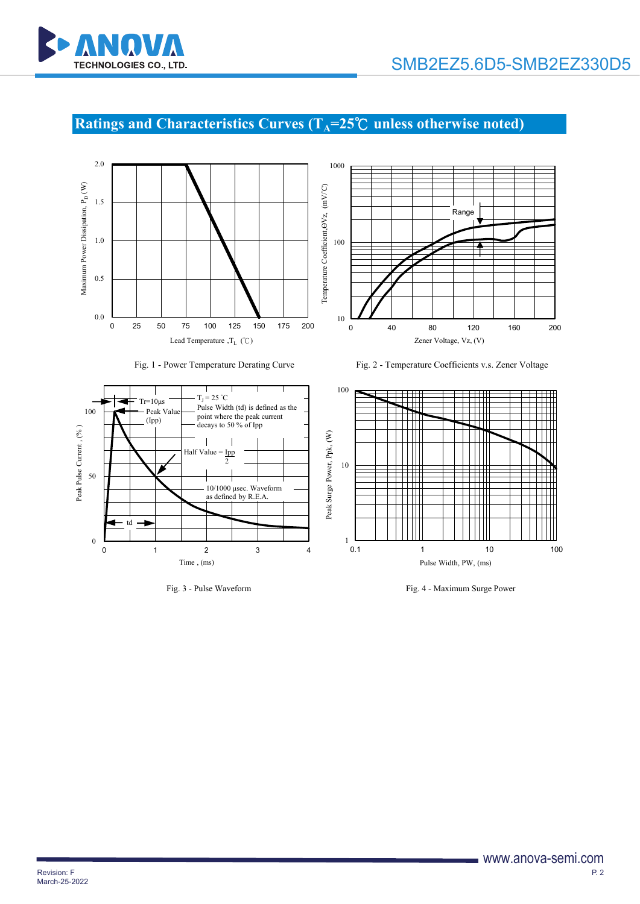

# **Ratings and Characteristics Curves (T<sub>A</sub>=25℃ unless otherwise noted)**













Fig. 3 - Pulse Waveform Fig. 4 - Maximum Surge Power